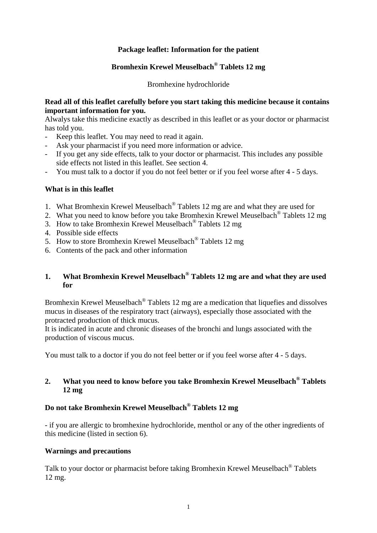## **Package leaflet: Information for the patient**

# **Bromhexin Krewel Meuselbach® Tablets 12 mg**

Bromhexine hydrochloride

#### **Read all of this leaflet carefully before you start taking this medicine because it contains important information for you.**

Alwalys take this medicine exactly as described in this leaflet or as your doctor or pharmacist has told you.

- Keep this leaflet. You may need to read it again.
- Ask your pharmacist if you need more information or advice.
- If you get any side effects, talk to your doctor or pharmacist. This includes any possible side effects not listed in this leaflet. See section 4.
- You must talk to a doctor if you do not feel better or if you feel worse after 4 5 days.

#### **What is in this leaflet**

- 1. What Bromhexin Krewel Meuselbach® Tablets 12 mg are and what they are used for
- 2. What you need to know before you take Bromhexin Krewel Meuselbach® Tablets 12 mg
- 3. How to take Bromhexin Krewel Meuselbach® Tablets 12 mg
- 4. Possible side effects
- 5. How to store Bromhexin Krewel Meuselbach® Tablets 12 mg
- 6. Contents of the pack and other information

## **1. What Bromhexin Krewel Meuselbach® Tablets 12 mg are and what they are used for**

Bromhexin Krewel Meuselbach<sup>®</sup> Tablets 12 mg are a medication that liquefies and dissolves mucus in diseases of the respiratory tract (airways), especially those associated with the protracted production of thick mucus.

It is indicated in acute and chronic diseases of the bronchi and lungs associated with the production of viscous mucus.

You must talk to a doctor if you do not feel better or if you feel worse after 4 - 5 days.

## **2. What you need to know before you take Bromhexin Krewel Meuselbach® Tablets 12 mg**

## **Do not take Bromhexin Krewel Meuselbach® Tablets 12 mg**

- if you are allergic to bromhexine hydrochloride, menthol or any of the other ingredients of this medicine (listed in section 6).

## **Warnings and precautions**

Talk to your doctor or pharmacist before taking Bromhexin Krewel Meuselbach® Tablets 12 mg.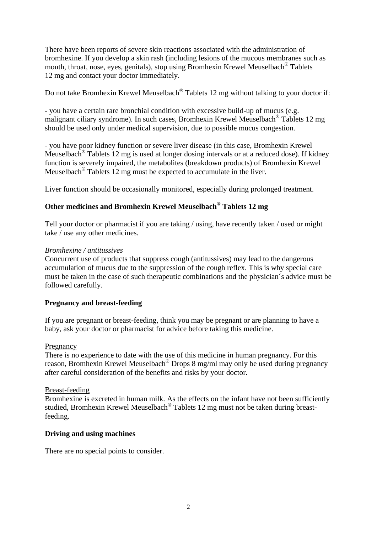There have been reports of severe skin reactions associated with the administration of bromhexine. If you develop a skin rash (including lesions of the mucous membranes such as mouth, throat, nose, eyes, genitals), stop using Bromhexin Krewel Meuselbach® Tablets 12 mg and contact your doctor immediately.

Do not take Bromhexin Krewel Meuselbach® Tablets 12 mg without talking to your doctor if:

- you have a certain rare bronchial condition with excessive build-up of mucus (e.g. malignant ciliary syndrome). In such cases, Bromhexin Krewel Meuselbach® Tablets 12 mg should be used only under medical supervision, due to possible mucus congestion.

- you have poor kidney function or severe liver disease (in this case, Bromhexin Krewel Meuselbach® Tablets 12 mg is used at longer dosing intervals or at a reduced dose). If kidney function is severely impaired, the metabolites (breakdown products) of Bromhexin Krewel Meuselbach® Tablets 12 mg must be expected to accumulate in the liver.

Liver function should be occasionally monitored, especially during prolonged treatment.

# **Other medicines and Bromhexin Krewel Meuselbach® Tablets 12 mg**

Tell your doctor or pharmacist if you are taking / using, have recently taken / used or might take / use any other medicines.

#### *Bromhexine / antitussives*

Concurrent use of products that suppress cough (antitussives) may lead to the dangerous accumulation of mucus due to the suppression of the cough reflex. This is why special care must be taken in the case of such therapeutic combinations and the physician´s advice must be followed carefully.

#### **Pregnancy and breast-feeding**

If you are pregnant or breast-feeding, think you may be pregnant or are planning to have a baby, ask your doctor or pharmacist for advice before taking this medicine.

#### Pregnancy

There is no experience to date with the use of this medicine in human pregnancy. For this reason, Bromhexin Krewel Meuselbach® Drops 8 mg/ml may only be used during pregnancy after careful consideration of the benefits and risks by your doctor.

#### Breast-feeding

Bromhexine is excreted in human milk. As the effects on the infant have not been sufficiently studied, Bromhexin Krewel Meuselbach® Tablets 12 mg must not be taken during breastfeeding.

#### **Driving and using machines**

There are no special points to consider.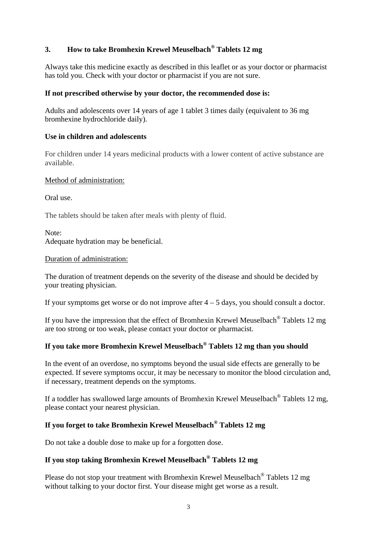# **3. How to take Bromhexin Krewel Meuselbach® Tablets 12 mg**

Always take this medicine exactly as described in this leaflet or as your doctor or pharmacist has told you. Check with your doctor or pharmacist if you are not sure.

## **If not prescribed otherwise by your doctor, the recommended dose is:**

Adults and adolescents over 14 years of age 1 tablet 3 times daily (equivalent to 36 mg bromhexine hydrochloride daily).

## **Use in children and adolescents**

For children under 14 years medicinal products with a lower content of active substance are available.

## Method of administration:

Oral use.

The tablets should be taken after meals with plenty of fluid.

Note: Adequate hydration may be beneficial.

## Duration of administration:

The duration of treatment depends on the severity of the disease and should be decided by your treating physician.

If your symptoms get worse or do not improve after  $4 - 5$  days, you should consult a doctor.

If you have the impression that the effect of Bromhexin Krewel Meuselbach® Tablets 12 mg are too strong or too weak, please contact your doctor or pharmacist.

# **If you take more Bromhexin Krewel Meuselbach® Tablets 12 mg than you should**

In the event of an overdose, no symptoms beyond the usual side effects are generally to be expected. If severe symptoms occur, it may be necessary to monitor the blood circulation and, if necessary, treatment depends on the symptoms.

If a toddler has swallowed large amounts of Bromhexin Krewel Meuselbach® Tablets 12 mg, please contact your nearest physician.

# **If you forget to take Bromhexin Krewel Meuselbach® Tablets 12 mg**

Do not take a double dose to make up for a forgotten dose.

# **If you stop taking Bromhexin Krewel Meuselbach® Tablets 12 mg**

Please do not stop your treatment with Bromhexin Krewel Meuselbach® Tablets 12 mg without talking to your doctor first. Your disease might get worse as a result.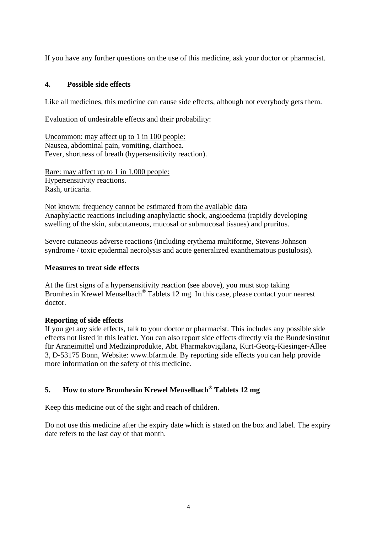If you have any further questions on the use of this medicine, ask your doctor or pharmacist.

## **4. Possible side effects**

Like all medicines, this medicine can cause side effects, although not everybody gets them.

Evaluation of undesirable effects and their probability:

Uncommon: may affect up to 1 in 100 people: Nausea, abdominal pain, vomiting, diarrhoea. Fever, shortness of breath (hypersensitivity reaction).

Rare: may affect up to 1 in 1,000 people: Hypersensitivity reactions. Rash, urticaria.

Not known: frequency cannot be estimated from the available data Anaphylactic reactions including anaphylactic shock, angioedema (rapidly developing swelling of the skin, subcutaneous, mucosal or submucosal tissues) and pruritus.

Severe cutaneous adverse reactions (including erythema multiforme, Stevens-Johnson syndrome / toxic epidermal necrolysis and acute generalized exanthematous pustulosis).

#### **Measures to treat side effects**

At the first signs of a hypersensitivity reaction (see above), you must stop taking Bromhexin Krewel Meuselbach® Tablets 12 mg. In this case, please contact your nearest doctor.

#### **Reporting of side effects**

If you get any side effects, talk to your doctor or pharmacist. This includes any possible side effects not listed in this leaflet. You can also report side effects directly via the Bundesinstitut für Arzneimittel und Medizinprodukte, Abt. Pharmakovigilanz, Kurt-Georg-Kiesinger-Allee 3, D-53175 Bonn, Website: www.bfarm.de. By reporting side effects you can help provide more information on the safety of this medicine.

# **5. How to store Bromhexin Krewel Meuselbach® Tablets 12 mg**

Keep this medicine out of the sight and reach of children.

Do not use this medicine after the expiry date which is stated on the box and label. The expiry date refers to the last day of that month.